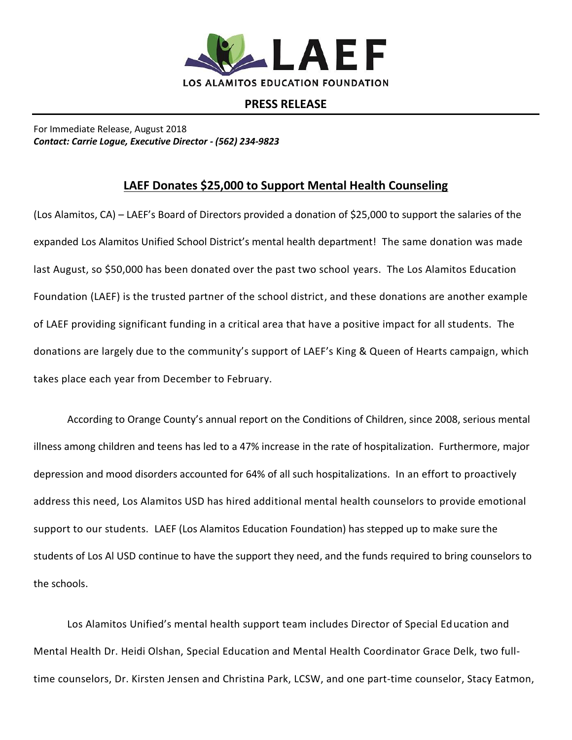

## **PRESS RELEASE**

For Immediate Release, August 2018 *Contact: Carrie Logue, Executive Director - (562) 234-9823*

## **LAEF Donates \$25,000 to Support Mental Health Counseling**

(Los Alamitos, CA) – LAEF's Board of Directors provided a donation of \$25,000 to support the salaries of the expanded Los Alamitos Unified School District's mental health department! The same donation was made last August, so \$50,000 has been donated over the past two school years. The Los Alamitos Education Foundation (LAEF) is the trusted partner of the school district, and these donations are another example of LAEF providing significant funding in a critical area that have a positive impact for all students. The donations are largely due to the community's support of LAEF's King & Queen of Hearts campaign, which takes place each year from December to February.

According to Orange County's annual report on the Conditions of Children, since 2008, serious mental illness among children and teens has led to a 47% increase in the rate of hospitalization. Furthermore, major depression and mood disorders accounted for 64% of all such hospitalizations. In an effort to proactively address this need, Los Alamitos USD has hired additional mental health counselors to provide emotional support to our students. LAEF (Los Alamitos Education Foundation) has stepped up to make sure the students of Los Al USD continue to have the support they need, and the funds required to bring counselors to the schools.

Los Alamitos Unified's mental health support team includes Director of Special Education and Mental Health Dr. Heidi Olshan, Special Education and Mental Health Coordinator Grace Delk, two fulltime counselors, Dr. Kirsten Jensen and Christina Park, LCSW, and one part-time counselor, Stacy Eatmon,